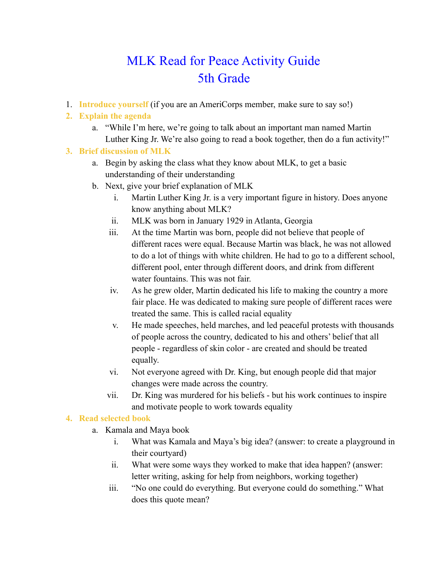# MLK Read for Peace Activity Guide 5th Grade

1. **Introduce yourself** (if you are an AmeriCorps member, make sure to say so!)

## **2. Explain the agenda**

a. "While I'm here, we're going to talk about an important man named Martin Luther King Jr. We're also going to read a book together, then do a fun activity!"

#### **3. Brief discussion of MLK**

- a. Begin by asking the class what they know about MLK, to get a basic understanding of their understanding
- b. Next, give your brief explanation of MLK
	- i. Martin Luther King Jr. is a very important figure in history. Does anyone know anything about MLK?
	- ii. MLK was born in January 1929 in Atlanta, Georgia
	- iii. At the time Martin was born, people did not believe that people of different races were equal. Because Martin was black, he was not allowed to do a lot of things with white children. He had to go to a different school, different pool, enter through different doors, and drink from different water fountains. This was not fair.
	- iv. As he grew older, Martin dedicated his life to making the country a more fair place. He was dedicated to making sure people of different races were treated the same. This is called racial equality
	- v. He made speeches, held marches, and led peaceful protests with thousands of people across the country, dedicated to his and others' belief that all people - regardless of skin color - are created and should be treated equally.
	- vi. Not everyone agreed with Dr. King, but enough people did that major changes were made across the country.
	- vii. Dr. King was murdered for his beliefs but his work continues to inspire and motivate people to work towards equality

#### **4. Read selected book**

- a. Kamala and Maya book
	- i. What was Kamala and Maya's big idea? (answer: to create a playground in their courtyard)
	- ii. What were some ways they worked to make that idea happen? (answer: letter writing, asking for help from neighbors, working together)
	- iii. "No one could do everything. But everyone could do something." What does this quote mean?